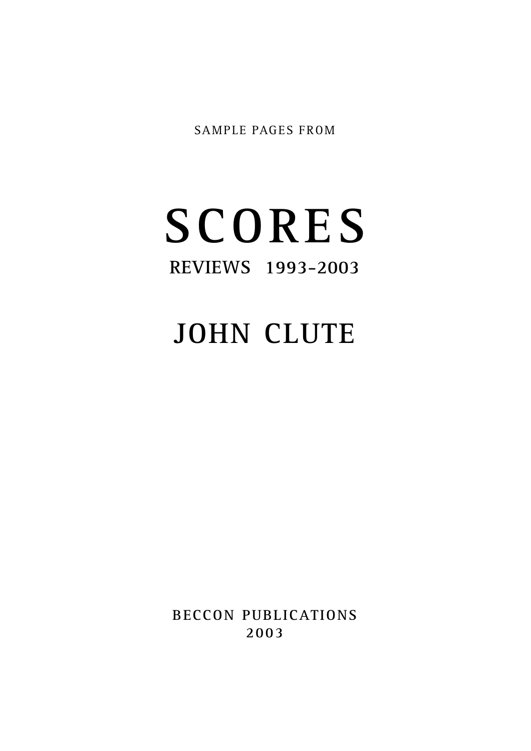SAMPLE PAGES FROM

## **S C O R E S R E V I E WS 1993-2003**

## **JOHN CLUTE**

**BECCON PUBLICATIONS 2 0 0 3**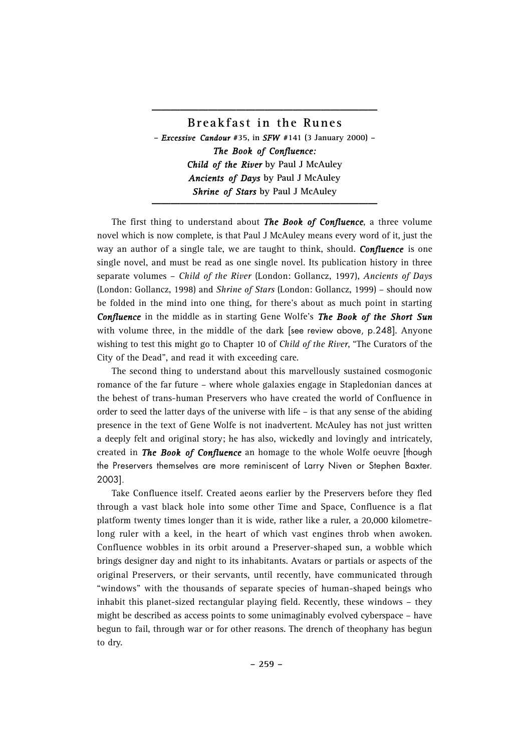## **Breakf as t in the Rune s –** *Excessive Candour* **#35, in** *SFW* **#141 (3 January 2000) –** *The Book of Confluence: Child of the River* **by Paul J McAuley** *Ancients of Days* **by Paul J McAuley** *Shrine of Stars* **by Paul J McAuley \_\_\_\_\_\_\_\_\_\_\_\_\_\_\_\_\_\_\_\_\_\_\_\_**

**\_\_\_\_\_\_\_\_\_\_\_\_\_\_\_\_\_\_\_\_\_\_\_\_**

The first thing to understand about *The Book of Confluence*, a three volume novel which is now complete, is that Paul J McAuley means every word of it, just the way an author of a single tale, we are taught to think, should. *Confluence* is one single novel, and must be read as one single novel. Its publication history in three separate volumes – *Child of the River* (London: Gollancz, 1997), *Ancients of Days* (London: Gollancz, 1998) and *Shrine of Stars* (London: Gollancz, 1999) – should now be folded in the mind into one thing, for there's about as much point in starting *Confluence* in the middle as in starting Gene Wolfe's *The Book of the Short Sun* with volume three, in the middle of the dark [see review above, p.248]. Anyone wishing to test this might go to Chapter 10 of *Child of the River*, "The Curators of the City of the Dead", and read it with exceeding care.

The second thing to understand about this marvellously sustained cosmogonic romance of the far future – where whole galaxies engage in Stapledonian dances at the behest of trans-human Preservers who have created the world of Confluence in order to seed the latter days of the universe with life – is that any sense of the abiding presence in the text of Gene Wolfe is not inadvertent. McAuley has not just written a deeply felt and original story; he has also, wickedly and lovingly and intricately, created in *The Book of Confluence* an homage to the whole Wolfe oeuvre [though the Preservers themselves are more reminiscent of Larry Niven or Stephen Baxter. 2003].

Take Confluence itself. Created aeons earlier by the Preservers before they fled through a vast black hole into some other Time and Space, Confluence is a flat platform twenty times longer than it is wide, rather like a ruler, a 20,000 kilometrelong ruler with a keel, in the heart of which vast engines throb when awoken. Confluence wobbles in its orbit around a Preserver-shaped sun, a wobble which brings designer day and night to its inhabitants. Avatars or partials or aspects of the original Preservers, or their servants, until recently, have communicated through "windows" with the thousands of separate species of human-shaped beings who inhabit this planet-sized rectangular playing field. Recently, these windows – they might be described as access points to some unimaginably evolved cyberspace – have begun to fail, through war or for other reasons. The drench of theophany has begun to dry.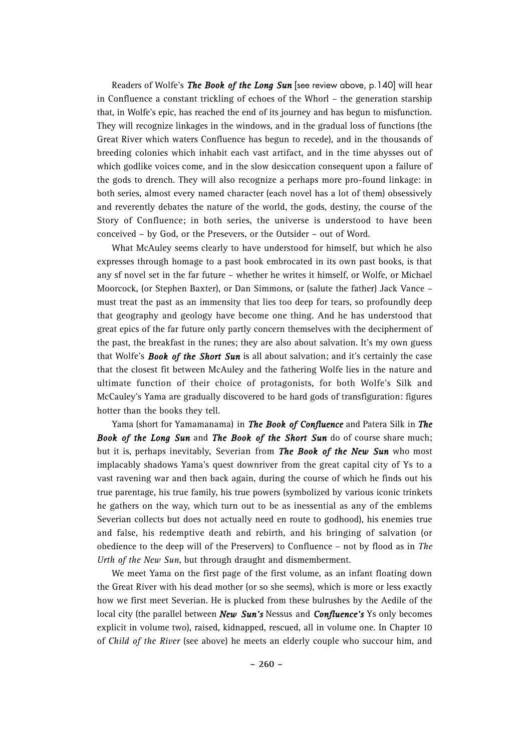Readers of Wolfe's *The Book of the Long Sun* [see review above, p.140] will hear in Confluence a constant trickling of echoes of the Whorl – the generation starship that, in Wolfe's epic, has reached the end of its journey and has begun to misfunction. They will recognize linkages in the windows, and in the gradual loss of functions (the Great River which waters Confluence has begun to recede), and in the thousands of breeding colonies which inhabit each vast artifact, and in the time abysses out of which godlike voices come, and in the slow desiccation consequent upon a failure of the gods to drench. They will also recognize a perhaps more pro-found linkage: in both series, almost every named character (each novel has a lot of them) obsessively and reverently debates the nature of the world, the gods, destiny, the course of the Story of Confluence; in both series, the universe is understood to have been conceived – by God, or the Presevers, or the Outsider – out of Word.

What McAuley seems clearly to have understood for himself, but which he also expresses through homage to a past book embrocated in its own past books, is that any sf novel set in the far future – whether he writes it himself, or Wolfe, or Michael Moorcock, (or Stephen Baxter), or Dan Simmons, or (salute the father) Jack Vance – must treat the past as an immensity that lies too deep for tears, so profoundly deep that geography and geology have become one thing. And he has understood that great epics of the far future only partly concern themselves with the decipherment of the past, the breakfast in the runes; they are also about salvation. It's my own guess that Wolfe's *Book of the Short Sun* is all about salvation; and it's certainly the case that the closest fit between McAuley and the fathering Wolfe lies in the nature and ultimate function of their choice of protagonists, for both Wolfe's Silk and McCauley's Yama are gradually discovered to be hard gods of transfiguration: figures hotter than the books they tell.

Yama (short for Yamamanama) in *The Book of Confluence* and Patera Silk in *The Book of the Long Sun* and *The Book of the Short Sun* do of course share much; but it is, perhaps inevitably, Severian from *The Book of the New Sun* who most implacably shadows Yama's quest downriver from the great capital city of Ys to a vast ravening war and then back again, during the course of which he finds out his true parentage, his true family, his true powers (symbolized by various iconic trinkets he gathers on the way, which turn out to be as inessential as any of the emblems Severian collects but does not actually need en route to godhood), his enemies true and false, his redemptive death and rebirth, and his bringing of salvation (or obedience to the deep will of the Preservers) to Confluence – not by flood as in *The Urth of the New Sun*, but through draught and dismemberment.

We meet Yama on the first page of the first volume, as an infant floating down the Great River with his dead mother (or so she seems), which is more or less exactly how we first meet Severian. He is plucked from these bulrushes by the Aedile of the local city (the parallel between *New Sun's* Nessus and *Confluence's* Ys only becomes explicit in volume two), raised, kidnapped, rescued, all in volume one. In Chapter 10 of *Child of the River* (see above) he meets an elderly couple who succour him, and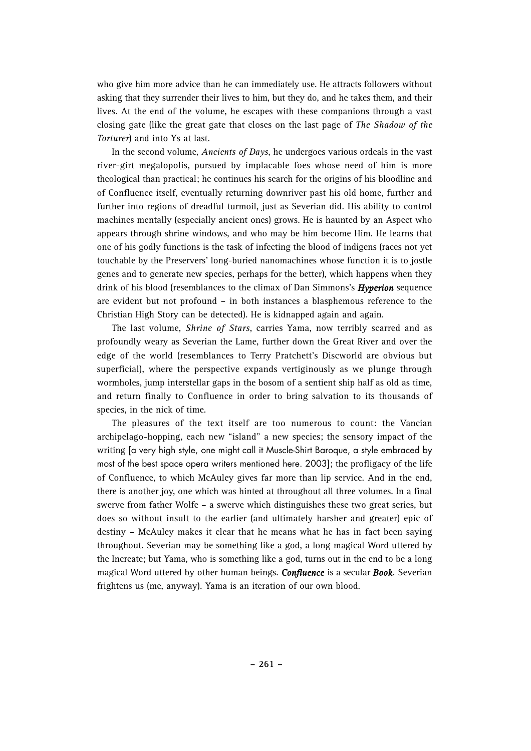who give him more advice than he can immediately use. He attracts followers without asking that they surrender their lives to him, but they do, and he takes them, and their lives. At the end of the volume, he escapes with these companions through a vast closing gate (like the great gate that closes on the last page of *The Shadow of the Torturer*) and into Ys at last.

In the second volume, *Ancients of Days*, he undergoes various ordeals in the vast river-girt megalopolis, pursued by implacable foes whose need of him is more theological than practical; he continues his search for the origins of his bloodline and of Confluence itself, eventually returning downriver past his old home, further and further into regions of dreadful turmoil, just as Severian did. His ability to control machines mentally (especially ancient ones) grows. He is haunted by an Aspect who appears through shrine windows, and who may be him become Him. He learns that one of his godly functions is the task of infecting the blood of indigens (races not yet touchable by the Preservers' long-buried nanomachines whose function it is to jostle genes and to generate new species, perhaps for the better), which happens when they drink of his blood (resemblances to the climax of Dan Simmons's *Hyperion* sequence are evident but not profound – in both instances a blasphemous reference to the Christian High Story can be detected). He is kidnapped again and again.

The last volume, *Shrine of Stars*, carries Yama, now terribly scarred and as profoundly weary as Severian the Lame, further down the Great River and over the edge of the world (resemblances to Terry Pratchett's Discworld are obvious but superficial), where the perspective expands vertiginously as we plunge through wormholes, jump interstellar gaps in the bosom of a sentient ship half as old as time, and return finally to Confluence in order to bring salvation to its thousands of species, in the nick of time.

The pleasures of the text itself are too numerous to count: the Vancian archipelago-hopping, each new "island" a new species; the sensory impact of the writing [a very high style, one might call it Muscle-Shirt Baroque, a style embraced by most of the best space opera writers mentioned here. 2003]; the profligacy of the life of Confluence, to which McAuley gives far more than lip service. And in the end, there is another joy, one which was hinted at throughout all three volumes. In a final swerve from father Wolfe – a swerve which distinguishes these two great series, but does so without insult to the earlier (and ultimately harsher and greater) epic of destiny – McAuley makes it clear that he means what he has in fact been saying throughout. Severian may be something like a god, a long magical Word uttered by the Increate; but Yama, who is something like a god, turns out in the end to be a long magical Word uttered by other human beings. *Confluence* is a secular *Book*. Severian frightens us (me, anyway). Yama is an iteration of our own blood.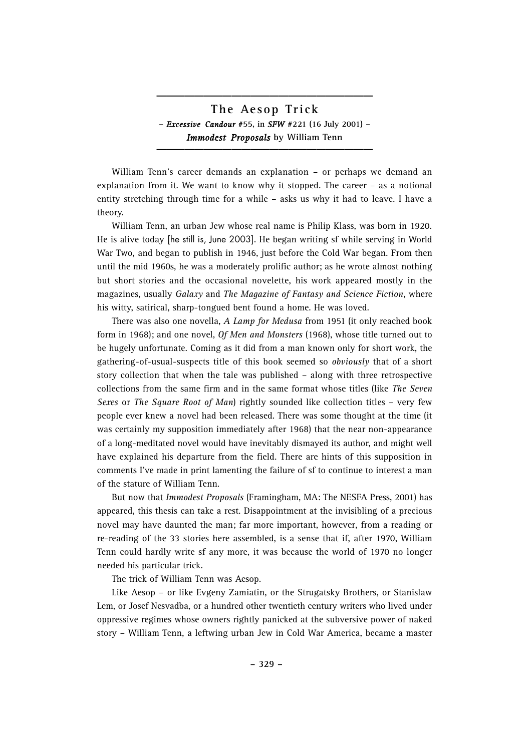## **The Ae sop Tri ck –** *Excessive Candour* **#55, in** *SFW* **#221 (16 July 2001) –** *Immodest Proposals* **by William Tenn \_\_\_\_\_\_\_\_\_\_\_\_\_\_\_\_\_\_\_\_\_\_\_**

**\_\_\_\_\_\_\_\_\_\_\_\_\_\_\_\_\_\_\_\_\_\_\_**

William Tenn's career demands an explanation – or perhaps we demand an explanation from it. We want to know why it stopped. The career – as a notional entity stretching through time for a while – asks us why it had to leave. I have a theory.

William Tenn, an urban Jew whose real name is Philip Klass, was born in 1920. He is alive today [he still is, June 2003]. He began writing sf while serving in World War Two, and began to publish in 1946, just before the Cold War began. From then until the mid 1960s, he was a moderately prolific author; as he wrote almost nothing but short stories and the occasional novelette, his work appeared mostly in the magazines, usually *Galaxy* and *The Magazine of Fantasy and Science Fiction*, where his witty, satirical, sharp-tongued bent found a home. He was loved.

There was also one novella, *A Lamp for Medusa* from 1951 (it only reached book form in 1968); and one novel, *Of Men and Monsters* (1968), whose title turned out to be hugely unfortunate. Coming as it did from a man known only for short work, the gathering-of-usual-suspects title of this book seemed so *obviously* that of a short story collection that when the tale was published – along with three retrospective collections from the same firm and in the same format whose titles (like *The Seven Sexes* or *The Square Root of Man*) rightly sounded like collection titles – very few people ever knew a novel had been released. There was some thought at the time (it was certainly my supposition immediately after 1968) that the near non-appearance of a long-meditated novel would have inevitably dismayed its author, and might well have explained his departure from the field. There are hints of this supposition in comments I've made in print lamenting the failure of sf to continue to interest a man of the stature of William Tenn.

But now that *Immodest Proposals* (Framingham, MA: The NESFA Press, 2001) has appeared, this thesis can take a rest. Disappointment at the invisibling of a precious novel may have daunted the man; far more important, however, from a reading or re-reading of the 33 stories here assembled, is a sense that if, after 1970, William Tenn could hardly write sf any more, it was because the world of 1970 no longer needed his particular trick.

The trick of William Tenn was Aesop.

Like Aesop – or like Evgeny Zamiatin, or the Strugatsky Brothers, or Stanislaw Lem, or Josef Nesvadba, or a hundred other twentieth century writers who lived under oppressive regimes whose owners rightly panicked at the subversive power of naked story – William Tenn, a leftwing urban Jew in Cold War America, became a master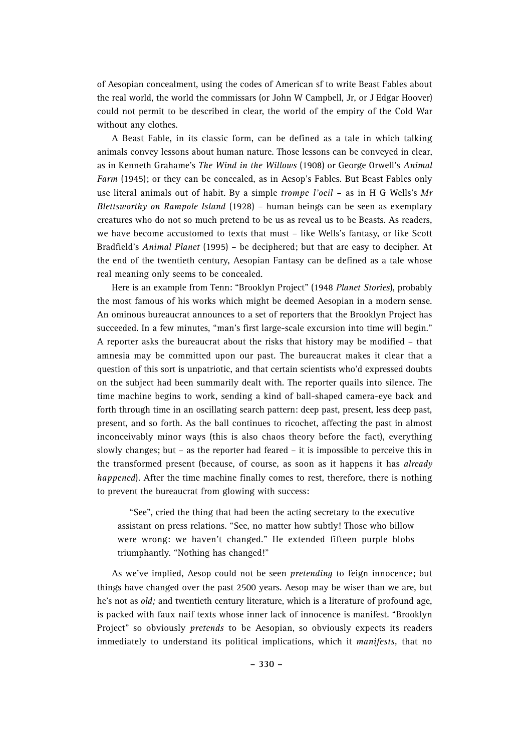of Aesopian concealment, using the codes of American sf to write Beast Fables about the real world, the world the commissars (or John W Campbell, Jr, or J Edgar Hoover) could not permit to be described in clear, the world of the empiry of the Cold War without any clothes.

A Beast Fable, in its classic form, can be defined as a tale in which talking animals convey lessons about human nature. Those lessons can be conveyed in clear, as in Kenneth Grahame's *The Wind in the Willows* (1908) or George Orwell's *Animal Farm* (1945); or they can be concealed, as in Aesop's Fables. But Beast Fables only use literal animals out of habit. By a simple *trompe l'oeil* – as in H G Wells's *Mr Blettsworthy on Rampole Island* (1928) – human beings can be seen as exemplary creatures who do not so much pretend to be us as reveal us to be Beasts. As readers, we have become accustomed to texts that must – like Wells's fantasy, or like Scott Bradfield's *Animal Planet* (1995) – be deciphered; but that are easy to decipher. At the end of the twentieth century, Aesopian Fantasy can be defined as a tale whose real meaning only seems to be concealed.

Here is an example from Tenn: "Brooklyn Project" (1948 *Planet Stories*), probably the most famous of his works which might be deemed Aesopian in a modern sense. An ominous bureaucrat announces to a set of reporters that the Brooklyn Project has succeeded. In a few minutes, "man's first large-scale excursion into time will begin." A reporter asks the bureaucrat about the risks that history may be modified – that amnesia may be committed upon our past. The bureaucrat makes it clear that a question of this sort is unpatriotic, and that certain scientists who'd expressed doubts on the subject had been summarily dealt with. The reporter quails into silence. The time machine begins to work, sending a kind of ball-shaped camera-eye back and forth through time in an oscillating search pattern: deep past, present, less deep past, present, and so forth. As the ball continues to ricochet, affecting the past in almost inconceivably minor ways (this is also chaos theory before the fact), everything slowly changes; but – as the reporter had feared – it is impossible to perceive this in the transformed present (because, of course, as soon as it happens it has *already happened*). After the time machine finally comes to rest, therefore, there is nothing to prevent the bureaucrat from glowing with success:

"See", cried the thing that had been the acting secretary to the executive assistant on press relations. "See, no matter how subtly! Those who billow were wrong: we haven't changed." He extended fifteen purple blobs triumphantly. "Nothing has changed!"

As we've implied, Aesop could not be seen *pretending* to feign innocence; but things have changed over the past 2500 years. Aesop may be wiser than we are, but he's not as *old;* and twentieth century literature, which is a literature of profound age, is packed with faux naif texts whose inner lack of innocence is manifest. "Brooklyn Project" so obviously *pretends* to be Aesopian, so obviously expects its readers immediately to understand its political implications, which it *manifests,* that no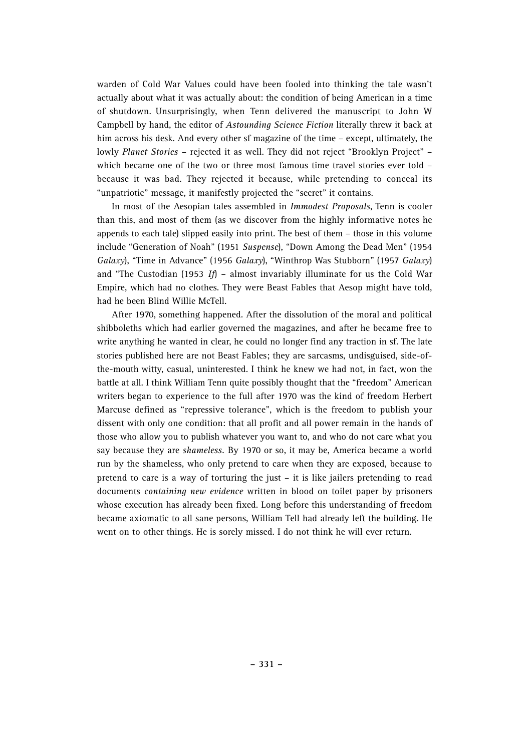warden of Cold War Values could have been fooled into thinking the tale wasn't actually about what it was actually about: the condition of being American in a time of shutdown. Unsurprisingly, when Tenn delivered the manuscript to John W Campbell by hand, the editor of *Astounding Science Fiction* literally threw it back at him across his desk. And every other sf magazine of the time – except, ultimately, the lowly *Planet Stories* – rejected it as well. They did not reject "Brooklyn Project" – which became one of the two or three most famous time travel stories ever told – because it was bad. They rejected it because, while pretending to conceal its "unpatriotic" message, it manifestly projected the "secret" it contains.

In most of the Aesopian tales assembled in *Immodest Proposals*, Tenn is cooler than this, and most of them (as we discover from the highly informative notes he appends to each tale) slipped easily into print. The best of them – those in this volume include "Generation of Noah" (1951 *Suspense*), "Down Among the Dead Men" (1954 *Galaxy*), "Time in Advance" (1956 *Galaxy*), "Winthrop Was Stubborn" (1957 *Galaxy*) and "The Custodian (1953 *If*) – almost invariably illuminate for us the Cold War Empire, which had no clothes. They were Beast Fables that Aesop might have told, had he been Blind Willie McTell.

After 1970, something happened. After the dissolution of the moral and political shibboleths which had earlier governed the magazines, and after he became free to write anything he wanted in clear, he could no longer find any traction in sf. The late stories published here are not Beast Fables; they are sarcasms, undisguised, side-ofthe-mouth witty, casual, uninterested. I think he knew we had not, in fact, won the battle at all. I think William Tenn quite possibly thought that the "freedom" American writers began to experience to the full after 1970 was the kind of freedom Herbert Marcuse defined as "repressive tolerance", which is the freedom to publish your dissent with only one condition: that all profit and all power remain in the hands of those who allow you to publish whatever you want to, and who do not care what you say because they are *shameless.* By 1970 or so, it may be, America became a world run by the shameless, who only pretend to care when they are exposed, because to pretend to care is a way of torturing the just – it is like jailers pretending to read documents *containing new evidence* written in blood on toilet paper by prisoners whose execution has already been fixed. Long before this understanding of freedom became axiomatic to all sane persons, William Tell had already left the building. He went on to other things. He is sorely missed. I do not think he will ever return.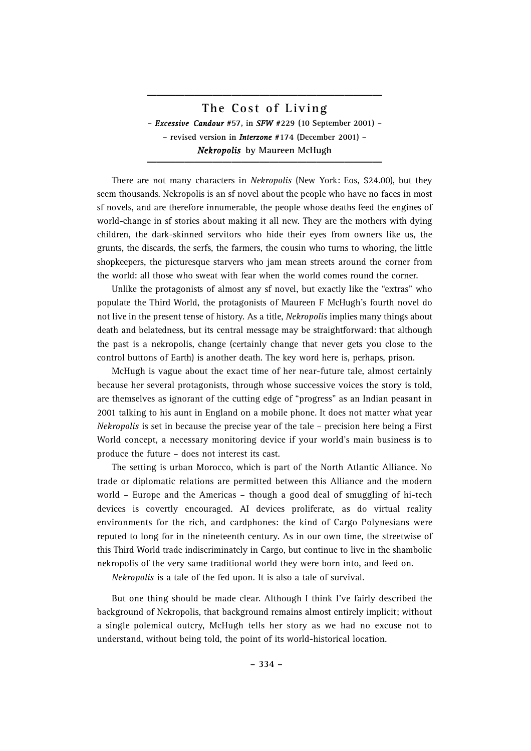**The Cos t of Living –** *Excessive Candour* **#57, in** *SFW* **#229 (10 September 2001) – – revised version in** *Interzone* **#174 (December 2001) –** *Nekropolis* **by Maureen McHugh \_\_\_\_\_\_\_\_\_\_\_\_\_\_\_\_\_\_\_\_\_\_\_\_\_**

**\_\_\_\_\_\_\_\_\_\_\_\_\_\_\_\_\_\_\_\_\_\_\_\_\_**

There are not many characters in *Nekropolis* (New York: Eos, \$24.00), but they seem thousands. Nekropolis is an sf novel about the people who have no faces in most sf novels, and are therefore innumerable, the people whose deaths feed the engines of world-change in sf stories about making it all new. They are the mothers with dying children, the dark-skinned servitors who hide their eyes from owners like us, the grunts, the discards, the serfs, the farmers, the cousin who turns to whoring, the little shopkeepers, the picturesque starvers who jam mean streets around the corner from the world: all those who sweat with fear when the world comes round the corner.

Unlike the protagonists of almost any sf novel, but exactly like the "extras" who populate the Third World, the protagonists of Maureen F McHugh's fourth novel do not live in the present tense of history. As a title, *Nekropolis* implies many things about death and belatedness, but its central message may be straightforward: that although the past is a nekropolis, change (certainly change that never gets you close to the control buttons of Earth) is another death. The key word here is, perhaps, prison.

McHugh is vague about the exact time of her near-future tale, almost certainly because her several protagonists, through whose successive voices the story is told, are themselves as ignorant of the cutting edge of "progress" as an Indian peasant in 2001 talking to his aunt in England on a mobile phone. It does not matter what year *Nekropolis* is set in because the precise year of the tale – precision here being a First World concept, a necessary monitoring device if your world's main business is to produce the future – does not interest its cast.

The setting is urban Morocco, which is part of the North Atlantic Alliance. No trade or diplomatic relations are permitted between this Alliance and the modern world – Europe and the Americas – though a good deal of smuggling of hi-tech devices is covertly encouraged. AI devices proliferate, as do virtual reality environments for the rich, and cardphones: the kind of Cargo Polynesians were reputed to long for in the nineteenth century. As in our own time, the streetwise of this Third World trade indiscriminately in Cargo, but continue to live in the shambolic nekropolis of the very same traditional world they were born into, and feed on.

*Nekropolis* is a tale of the fed upon. It is also a tale of survival.

But one thing should be made clear. Although I think I've fairly described the background of Nekropolis, that background remains almost entirely implicit; without a single polemical outcry, McHugh tells her story as we had no excuse not to understand, without being told, the point of its world-historical location.